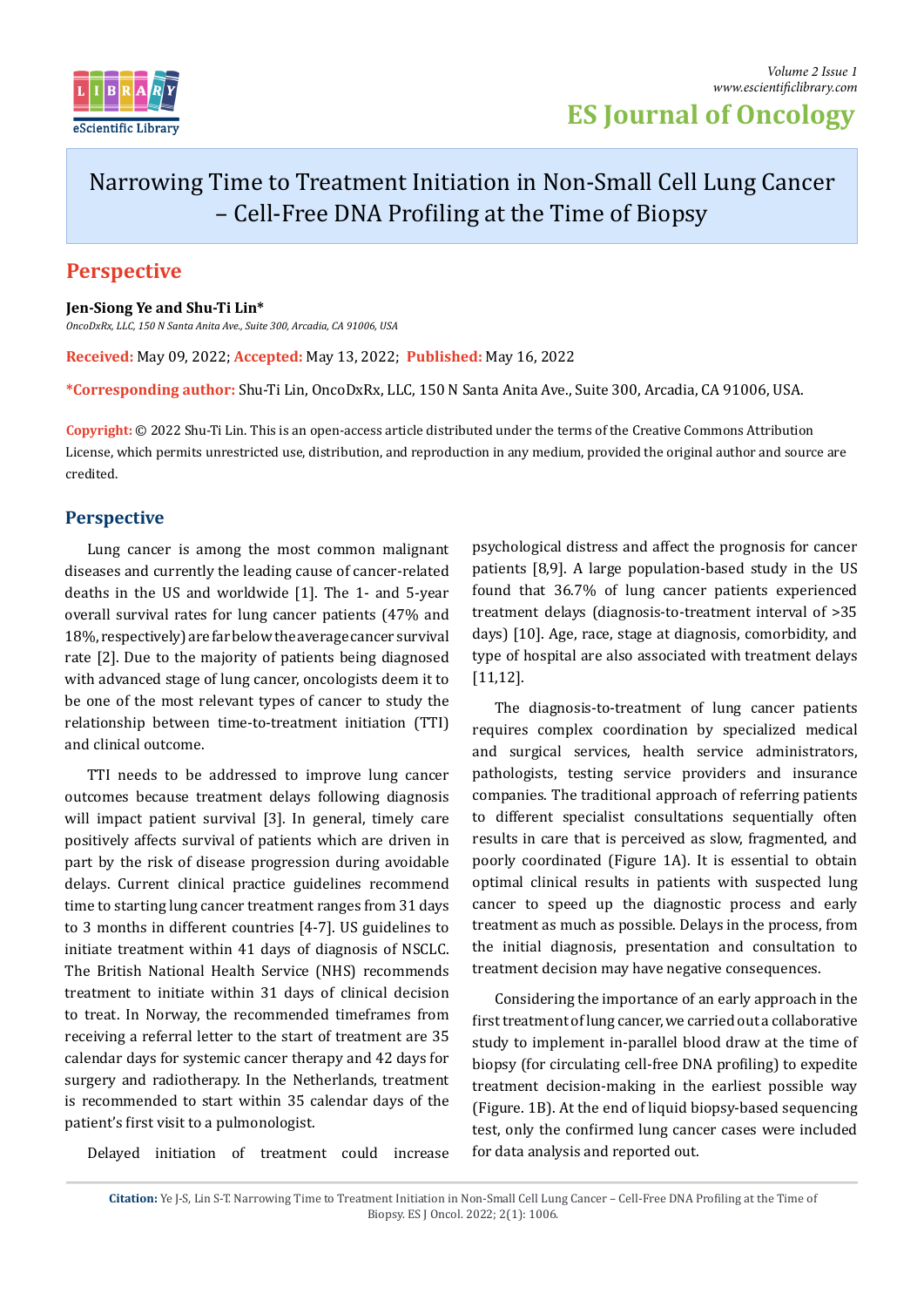

**ES Journal of Oncology**

## Narrowing Time to Treatment Initiation in Non-Small Cell Lung Cancer – Cell-Free DNA Profiling at the Time of Biopsy

## **Perspective**

**Jen-Siong Ye and Shu-Ti Lin\***

*OncoDxRx, LLC, 150 N Santa Anita Ave., Suite 300, Arcadia, CA 91006, USA*

**Received:** May 09, 2022; **Accepted:** May 13, 2022; **Published:** May 16, 2022

**\*Corresponding author:** Shu-Ti Lin, OncoDxRx, LLC, 150 N Santa Anita Ave., Suite 300, Arcadia, CA 91006, USA.

**Copyright:** © 2022 Shu-Ti Lin. This is an open-access article distributed under the terms of the Creative Commons Attribution License, which permits unrestricted use, distribution, and reproduction in any medium, provided the original author and source are credited.

## **Perspective**

Lung cancer is among the most common malignant diseases and currently the leading cause of cancer-related deaths in the US and worldwide [1]. The 1- and 5-year overall survival rates for lung cancer patients (47% and 18%, respectively) are far below the average cancer survival rate [2]. Due to the majority of patients being diagnosed with advanced stage of lung cancer, oncologists deem it to be one of the most relevant types of cancer to study the relationship between time-to-treatment initiation (TTI) and clinical outcome.

TTI needs to be addressed to improve lung cancer outcomes because treatment delays following diagnosis will impact patient survival [3]. In general, timely care positively affects survival of patients which are driven in part by the risk of disease progression during avoidable delays. Current clinical practice guidelines recommend time to starting lung cancer treatment ranges from 31 days to 3 months in different countries [4-7]. US guidelines to initiate treatment within 41 days of diagnosis of NSCLC. The British National Health Service (NHS) recommends treatment to initiate within 31 days of clinical decision to treat. In Norway, the recommended timeframes from receiving a referral letter to the start of treatment are 35 calendar days for systemic cancer therapy and 42 days for surgery and radiotherapy. In the Netherlands, treatment is recommended to start within 35 calendar days of the patient's first visit to a pulmonologist.

Delayed initiation of treatment could increase

psychological distress and affect the prognosis for cancer patients [8,9]. A large population-based study in the US found that 36.7% of lung cancer patients experienced treatment delays (diagnosis-to-treatment interval of >35 days) [10]. Age, race, stage at diagnosis, comorbidity, and type of hospital are also associated with treatment delays [11,12].

The diagnosis-to-treatment of lung cancer patients requires complex coordination by specialized medical and surgical services, health service administrators, pathologists, testing service providers and insurance companies. The traditional approach of referring patients to different specialist consultations sequentially often results in care that is perceived as slow, fragmented, and poorly coordinated (Figure 1A). It is essential to obtain optimal clinical results in patients with suspected lung cancer to speed up the diagnostic process and early treatment as much as possible. Delays in the process, from the initial diagnosis, presentation and consultation to treatment decision may have negative consequences.

Considering the importance of an early approach in the first treatment of lung cancer, we carried out a collaborative study to implement in-parallel blood draw at the time of biopsy (for circulating cell-free DNA profiling) to expedite treatment decision-making in the earliest possible way (Figure. 1B). At the end of liquid biopsy-based sequencing test, only the confirmed lung cancer cases were included for data analysis and reported out.

**Citation:** Ye J-S, Lin S-T. Narrowing Time to Treatment Initiation in Non-Small Cell Lung Cancer – Cell-Free DNA Profiling at the Time of Biopsy. ES J Oncol. 2022; 2(1): 1006.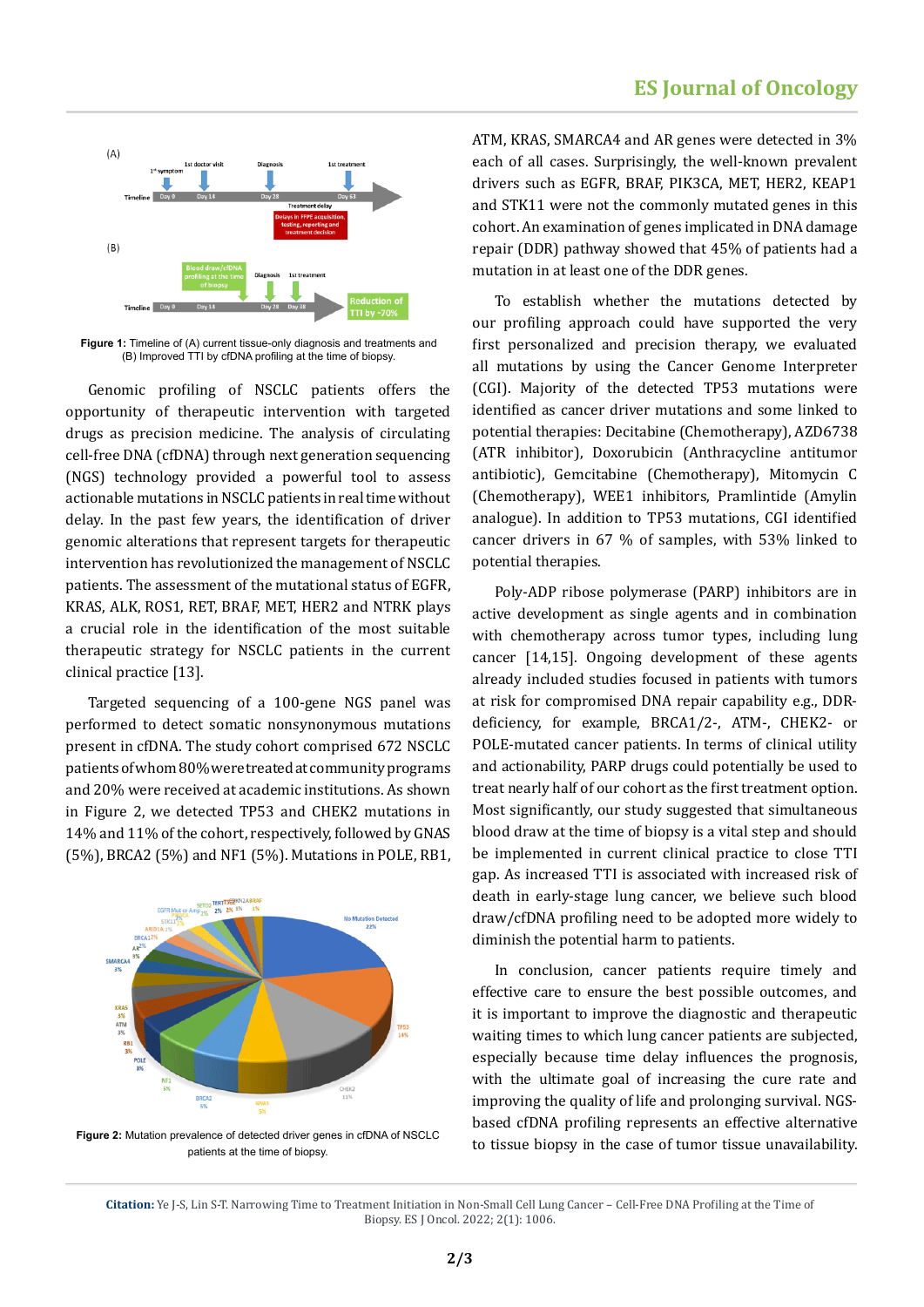

**Figure 1:** Timeline of (A) current tissue-only diagnosis and treatments and (B) Improved TTI by cfDNA profiling at the time of biopsy.

Genomic profiling of NSCLC patients offers the opportunity of therapeutic intervention with targeted drugs as precision medicine. The analysis of circulating cell-free DNA (cfDNA) through next generation sequencing (NGS) technology provided a powerful tool to assess actionable mutations in NSCLC patients in real time without delay. In the past few years, the identification of driver genomic alterations that represent targets for therapeutic intervention has revolutionized the management of NSCLC patients. The assessment of the mutational status of EGFR, KRAS, ALK, ROS1, RET, BRAF, MET, HER2 and NTRK plays a crucial role in the identification of the most suitable therapeutic strategy for NSCLC patients in the current clinical practice [13].

Targeted sequencing of a 100-gene NGS panel was performed to detect somatic nonsynonymous mutations present in cfDNA. The study cohort comprised 672 NSCLC patients of whom 80% were treated at community programs and 20% were received at academic institutions. As shown in Figure 2, we detected TP53 and CHEK2 mutations in 14% and 11% of the cohort, respectively, followed by GNAS (5%), BRCA2 (5%) and NF1 (5%). Mutations in POLE, RB1,



**Figure 2:** Mutation prevalence of detected driver genes in cfDNA of NSCLC patients at the time of biopsy.

ATM, KRAS, SMARCA4 and AR genes were detected in 3% each of all cases. Surprisingly, the well-known prevalent drivers such as EGFR, BRAF, PIK3CA, MET, HER2, KEAP1 and STK11 were not the commonly mutated genes in this cohort. An examination of genes implicated in DNA damage repair (DDR) pathway showed that 45% of patients had a mutation in at least one of the DDR genes.

To establish whether the mutations detected by our profiling approach could have supported the very first personalized and precision therapy, we evaluated all mutations by using the Cancer Genome Interpreter (CGI). Majority of the detected TP53 mutations were identified as cancer driver mutations and some linked to potential therapies: Decitabine (Chemotherapy), AZD6738 (ATR inhibitor), Doxorubicin (Anthracycline antitumor antibiotic), Gemcitabine (Chemotherapy), Mitomycin C (Chemotherapy), WEE1 inhibitors, Pramlintide (Amylin analogue). In addition to TP53 mutations, CGI identified cancer drivers in 67 % of samples, with 53% linked to potential therapies.

Poly-ADP ribose polymerase (PARP) inhibitors are in active development as single agents and in combination with chemotherapy across tumor types, including lung cancer [14,15]. Ongoing development of these agents already included studies focused in patients with tumors at risk for compromised DNA repair capability e.g., DDRdeficiency, for example, BRCA1/2-, ATM-, CHEK2- or POLE-mutated cancer patients. In terms of clinical utility and actionability, PARP drugs could potentially be used to treat nearly half of our cohort as the first treatment option. Most significantly, our study suggested that simultaneous blood draw at the time of biopsy is a vital step and should be implemented in current clinical practice to close TTI gap. As increased TTI is associated with increased risk of death in early-stage lung cancer, we believe such blood draw/cfDNA profiling need to be adopted more widely to diminish the potential harm to patients.

In conclusion, cancer patients require timely and effective care to ensure the best possible outcomes, and it is important to improve the diagnostic and therapeutic waiting times to which lung cancer patients are subjected, especially because time delay influences the prognosis, with the ultimate goal of increasing the cure rate and improving the quality of life and prolonging survival. NGSbased cfDNA profiling represents an effective alternative to tissue biopsy in the case of tumor tissue unavailability.

**Citation:** Ye J-S, Lin S-T. Narrowing Time to Treatment Initiation in Non-Small Cell Lung Cancer – Cell-Free DNA Profiling at the Time of Biopsy. ES J Oncol. 2022; 2(1): 1006.